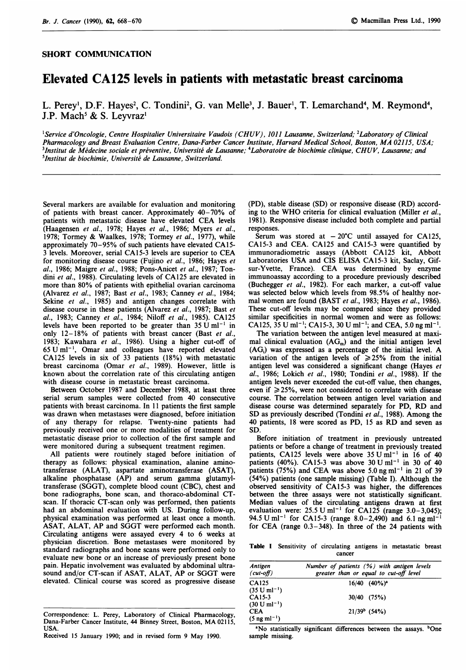## SHORT COMMUNICATION

## Elevated CA125 levels in patients with metastatic breast carcinoma

L. Perey<sup>1</sup>, D.F. Hayes<sup>2</sup>, C. Tondini<sup>2</sup>, G. van Melle<sup>3</sup>, J. Bauer<sup>1</sup>, T. Lemarchand<sup>4</sup>, M. Reymond<sup>4</sup>, J.P. Mach' & S. Leyvraz'

<sup>1</sup>Service d'Oncologie, Centre Hospitalier Universitaire Vaudois (CHUV), 1011 Lausanne, Switzerland; <sup>2</sup>Laboratory of Clinical Pharmacology and Breast Evaluation Centre, Dana-Farber Cancer Institute, Harvard Medical School, Boston, MA 02115, USA; <sup>3</sup>Institut de Médecine sociale et préventive, Université de Lausanne; <sup>4</sup>Laboratoire de biochimie clinique, CHUV, Lausanne; and 51nstitut de biochimie, Universite de Lausanne, Switzerland.

Several markers are available for evaluation and monitoring of patients with breast cancer. Approximately 40-70% of patients with metastatic disease have elevated CEA levels (Haagensen et al., 1978; Hayes et al., 1986; Myers et al., 1978; Tormey & Waalkes, 1978; Tormey et al., 1977), while approximately 70-95% of such patients have elevated CA15- <sup>3</sup> levels. Moreover, serial CA15-3 levels are superior to CEA for monitoring disease course (Fujino et al., 1986; Hayes et al., 1986; Maigre et al., 1988; Pons-Anicet et al., 1987; Tondini et al., 1988). Circulating levels of CA125 are elevated in more than 80% of patients with epithelial ovarian carcinoma (Alvarez et al., 1987; Bast et al., 1983; Canney et al., 1984; Sekine et al., 1985) and antigen changes correlate with disease course in these patients (Alvarez et al., 1987; Bast et al., 1983; Canney et al., 1984; Niloff et al., 1985). CA125 levels have been reported to be greater than  $35 \text{ U ml}^{-1}$  in only 12-18% of patients with breast cancer (Bast et al., 1983; Kawahara et al., 1986). Using a higher cut-off of  $65$  U ml<sup>-1</sup>, Omar and colleagues have reported elevated CA125 levels in six of 33 patients (18%) with metastatic breast carcinoma (Omar et al., 1989). However, little is known about the correlation rate of this circulating antigen with disease course in metastatic breast carcinoma.

Between October 1987 and December 1988, at least three serial serum samples were collected from 40 consecutive patients with breast carcinoma. In 11 patients the first sample was drawn when metastases were diagnosed, before initiation of any therapy for relapse. Twenty-nine patients had previously received one or more modalities of treatment for metastatic disease prior to collection of the first sample and were monitored during a subsequent treatment regimen.

All patients were routinely staged before initiation of therapy as follows: physical examination, alanine aminotransferase (ALAT), aspartate aminotransferase (ASAT), alkaline phosphatase (AP) and serum gamma glutamyltransferase (SGGT), complete blood count (CBC), chest and bone radiographs, bone scan, and thoraco-abdominal CTscan. If thoracic CT-scan only was performed, then patients had an abdominal evaluation with US. During follow-up, physical examination was performed at least once a month. ASAT, ALAT, AP and SGGT were performed each month. Circulating antigens were assayed every 4 to 6 weeks at physician discretion. Bone metastases were monitored by standard radiographs and bone scans were performed only to evaluate new bone or an increase of previously present bone pain. Hepatic involvement was evaluated by abdominal ultrasound and/or CT-scan if ASAT, ALAT, AP or SGGT were elevated. Clinical course was scored as progressive disease

(PD), stable disease (SD) or responsive disease (RD) according to the WHO criteria for clinical evaluation (Miller et al., 1981). Responsive disease included both complete and partial responses.

Serum was stored at  $-20^{\circ}$ C until assayed for CA125, CA15-3 and CEA. CA125 and CA15-3 were quantified by immunoradiometric assays (Abbott CA125 kit, Abbott Laboratories USA and CIS ELISA CA15-3 kit, Saclay, Gifsur-Yvette, France). CEA was determined by enzyme immunoassay according to a procedure previously described (Buchegger et al., 1982). For each marker, a cut-off value was selected below which levels from 98.5% of healthy normal women are found (BAST et al., 1983; Hayes et al., 1986). These cut-off levels may be compared since they provided similar specificities in normal women and were as follows: CA125,  $35 \text{ U ml}^{-1}$ ; CA15-3,  $30 \text{ U ml}^{-1}$ ; and CEA,  $5.0 \text{ ng ml}^{-1}$ .

The variation between the antigen level measured at maximal clinical evaluation  $(AG_m)$  and the initial antigen level (AGj) was expressed as <sup>a</sup> percentage of the initial level. A variation of the antigen levels of  $\geq 25\%$  from the initial antigen level was considered a significant change (Hayes et al., 1986; Lokich et al., 1980; Tondini et al., 1988). If the antigen levels never exceeded the cut-off value, then changes, even if  $\geq$  25%, were not considered to correlate with disease course. The correlation between antigen level variation and disease course was determined separately for PD, RD and SD as previously described (Tondini et al., 1988). Among the <sup>40</sup> patients, <sup>18</sup> were scored as PD, <sup>15</sup> as RD and seven as SD.

Before initiation of treatment in previously untreated patients or before a change of treatment in previously treated patients, CA125 levels were above  $35 \text{ U m}$ l<sup>-1</sup> in 16 of 40 patients (40%). CA15-3 was above  $30 \text{ U m}^{-1}$  in 30 of 40 patients (75%) and CEA was above 5.0 ng ml<sup>-1</sup> in 21 of 39 (54%) patients (one sample missing) (Table I). Although the observed sensitivity of CA15-3 was higher, the differences between the three assays were not statistically significant. Median values of the circulating antigens drawn at first evaluation were:  $25.5 \text{ U ml}^{-1}$  for  $CA12\overline{5}$  (range 3.0-3,045); 94.5 U ml<sup>-1</sup> for CA15-3 (range 8.0-2,490) and 6.1 ng ml<sup>-1</sup> for CEA (range 0.3-348). In three of the 24 patients with

Table <sup>I</sup> Sensitivity of circulating antigens in metastatic breast cancer

| <b>Antigen</b><br>$(cut-off)$      | Number of patients (%) with antigen levels<br>greater than or equal to cut-off level |  |  |
|------------------------------------|--------------------------------------------------------------------------------------|--|--|
| CA125<br>$(35 \text{ U ml}^{-1})$  | $16/40$ $(40\%)^a$                                                                   |  |  |
| CA15-3<br>$(30 \text{ U ml}^{-1})$ | $30/40$ (75%)                                                                        |  |  |
| CEA<br>$(5 \text{ ng ml}^{-1})$    | $21/39^b$ (54%)                                                                      |  |  |

<sup>a</sup>No statistically significant differences between the assays. <sup>b</sup>One sample missing.

Correspondence: L. Perey, Laboratory of Clinical Pharmacology, Dana-Farber Cancer Institute, <sup>44</sup> Binney Street, Boston, MA 02115, USA.

Received <sup>15</sup> January 1990; and in revised form 9 May 1990.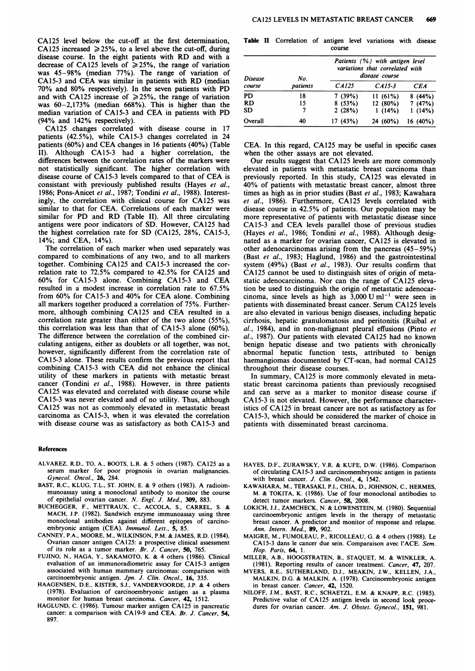CA125 level below the cut-off at the first determination, CA125 increased  $\geq$  25%, to a level above the cut-off, during disease course. In the eight patients with RD and with <sup>a</sup> decrease of CA125 levels of  $\geq$  25%, the range of variation was 45-98% (median 77%). The range of variation of CA15-3 and CEA was similar in patients with RD (median 70% and 80% respectively). In the seven patients with PD and with CA125 increase of  $\geq$  25%, the range of variation was  $60-2,173\%$  (median  $668\%$ ). This is higher than the median variation of CA15-3 and CEA in patients with PD (94% and 142% respectively).

CA125 changes correlated with disease course in 17 patients (42.5%), while CA15-3 changes correlated in 24 patients (60%) and CEA changes in <sup>16</sup> patients (40%) (Table II). Although CA15-3 had a higher correlation, the differences between the correlation rates of the markers were not statistically significant. The higher correlation with disease course of CA15-3 levels compared to that of CEA is consistant with previously published results (Hayes et al., 1986; Pons-Anicet et al., 1987; Tondini et al., 1988). Interestingly, the correlation with clinical course for CA125 was similar to that for CEA. Correlations of each marker were similar for PD and RD (Table II). All three circulating antigens were poor indicators of SD. However, CA125 had the highest correlation rate for SD (CA125, 28%, CA15-3, 14%; and CEA, 14%).

The correlation of each marker when used separately was compared to combinations of any two, and to all markers together. Combining CA125 and CA15-3 increased the correlation rate to 72.5% compared to 42.5% for CA125 and 60% for CA15-3 alone. Combining CA15-3 and CEA resulted in a modest increase in correlation rate to 67.5% from 60% for CA15-3 and 40% for CEA alone. Combining all markers together produced a correlation of 75%. Furthermore, although combining CA125 and CEA resulted in <sup>a</sup> correlation rate greater than either of the two alone (55%), this correlation was less than that of CA15-3 alone (60%). The difference between the correlation of the combined circulating antigens, either as doublets or all together, was not, however, significantly different from the correlation rate of CA15-3 alone. These results confirm the previous report that combining CA15-3 with CEA did not enhance the clinical utility of these markers in patients with metastic breast cancer (Tondini et al., 1988). However, in three patients CA125 was elevated and correlated with disease course while CA15-3 was never elevated and of no utility. Thus, although CA125 was not as commonly elevated in metastatic breast carcinoma as CA15-3, when it was elevated the correlation with disease course was as satisfactory as both CA15-3 and

## References

- ALVAREZ, R.D., TO, A., BOOTS, L.R. & <sup>5</sup> others (1987). CA125 as a serum marker for poor prognosis in ovarian malignancies. Gynecol. Oncol., 26, 284.
- BAST, R.C., KLUG, T.L., ST. JOHN, E. & <sup>9</sup> others (1983). A radioimmunoassay using a monoclonal antibody to monitor the course of epithelial ovarian cancer. N. Engl. J. Med., 309, 883.
- BUCHEGGER, F., METTRAUX, C., ACCOLA, S., CARREL, S. & MACH, J.P. (1982). Sandwich enzyme immunoassay using three monoclonal antibodies against different epitopes of carcinoembryonic antigen (CEA). Immunol. Lett., 5, 85.
- CANNEY, P.A., MOORE, M., WILKINSON, P.M. & JAMES, R.D. (1984). Ovarian cancer antigen CA125: a prospective clinical assessment of its role as a tumor marker. Br. J. Cancer, 50, 765.
- FUJINO, N., HAGA, Y., SAKAMOTO, K. & 4 others (1986). Clinical evaluation of an immunoradiometric assay for CA15-3 antigen associated with human mammary carcinomas: comparison with carcinoembryonic antigen. Jpn. J. Clin. Oncol., 16, 335.
- HAAGENSEN, D.E., KISTER, S.J., VANDERVOORDE, J.P. & 4 others (1978). Evaluation of carcinoembryonic antigen as a plasma monitor for human breast carcinoma. Cancer, 42, 1512.
- HAGLUND, C. (1986). Tumour marker antigen CA125 in pancreatic cancer: a comparison with CA19-9 and CEA. Br. J. Cancer, 54, 897.

Table II Correlation of antigen level variations with disease course

| Disease<br>course | No.<br>patients | Patients (%) with antigen level<br>variations that correlated with<br>disease course |            |          |
|-------------------|-----------------|--------------------------------------------------------------------------------------|------------|----------|
|                   |                 | CA125                                                                                | $CA15-3$   | CE A     |
| PD                | 18              | 7(39%)                                                                               | 11(61%)    | 8(44%)   |
| <b>RD</b>         | 15              | 8(53%)                                                                               | 12 (80%)   | 7(47%)   |
| SD                | 7               | 2(28%)                                                                               | 1(14%)     | 1(14%)   |
| Overall           | 40              | 17(43%)                                                                              | $24(60\%)$ | 16 (40%) |

CEA. In this regard, CA125 may be useful in specific cases when the other assays are not elevated.

Our results suggest that CA125 levels are more commonly elevated in patients with metastatic breast carcinoma than previously reported. In this study, CA125 was elevated in 40% of patients with metastatic breast cancer, almost three times as high as in prior studies (Bast et al., 1983; Kawahara et al., 1986). Furthermore, CA125 levels correlated with disease course in 42.5% of patients. Our population may be more representative of patients with metastatic disease since CA15-3 and CEA levels parallel those of previous studies (Hayes et al., 1986; Tondini et al., 1988). Although designated as a marker for ovarian cancer, CA125 is elevated in other adenocarcinomas arising from the pancreas (45-59%) (Bast et al., 1983; Haglund, 1986) and the gastrointestinal system (49%) (Bast et al., 1983). Our results confirm that CA125 cannot be used to distinguish sites of origin of metastatic adenocarcinoma. Nor can the range of CA125 elevation be used to distinguish the origin of metastatic adenocarcinoma, since levels as high as  $3,000 \text{ U m}^{-1}$  were seen in patients with disseminated breast cancer. Serum CA125 levels are also elevated in various benign diseases, including hepatic cirrhosis, hepatic granulomatosis and peritonitis (Ruibal et al., 1984), and in non-malignant pleural effusions (Pinto et al., 1987). Our patients with elevated CA125 had no known benign hepatic disease and two patients with chronically abnormal hepatic function tests, attributed to benign haemangiomas documented by CT-scan, had normal CA125 throughout their disease courses.

In summary, CA125 is more commonly elevated in metastatic breast carcinoma patients than previously recognised and can serve as a marker to monitor disease course if CA15-3 is not elevated. However, the performance characteristics of CA125 in breast cancer are not as satisfactory as for CA15-3, which should be considered the marker of choice in patients with disseminated breast carcinoma.

- HAYES, D.F., ZURAWSKY, V.R. & KUFE, D.W. (1986). Comparison of circulating CA15-3 and carcinomembryonic antigen in patients with breast cancer. J. Clin. Oncol., 4, 1542.
- KAWAHARA, M., TERASAKI, P.I., CHIA, D., JOHNSON, C., HERMES, M. & TOKITA, K. (1986). Use of four monoclonal antibodies to detect tumor markers. Cancer, 58, 2008.
- LOKICH, J.J., ZAMCHECK, N. & LOWENSTEIN, M. (1980). Sequential carcinoembryonic antigen levels in the therapy of metastatic breast cancer. A predictor and monitor of response and relapse. Ann. Intern. Med., 89, 902.
- MAIGRE, M., FUMOLEAU, P., RICOLLEAU, G. & 4 others (1988). Le CA15-3 dans le cancer due sein. Comparaison avec I'ACE. Sem. Hop. Paris, 64, 1.
- MILLER, A.B., HOOGSTRATEN, B., STAQUET, M. & WINKLER, A. (1981). Reporting results of cancer treatment. Cancer, 47, 207.
- MYERS, R.E., SUTHERLAND, D.J., MEAKIN, J.W., KELLEN, J.A., MALKIN, D.G. & MALKIN, A. (1978). Carcinoembryonic antigen in breast cancer. Cancer, 42, 1520.
- NILOFF, J.M., BAST, R.C., SCHAETZL, E.M. & KNAPP, R.C. (1985). Predictive value of CA125 antigen levels in second look procedures for ovarian cancer. Am. J. Obstet. Gynecol., 151, 981.